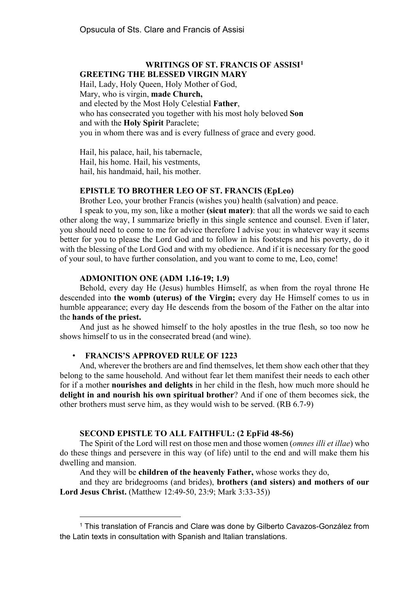## **WRITINGS OF ST. FRANCIS OF ASSISI[1](#page-0-0) GREETING THE BLESSED VIRGIN MARY**

Hail, Lady, Holy Queen, Holy Mother of God,

Mary, who is virgin, **made Church,** 

and elected by the Most Holy Celestial **Father**,

who has consecrated you together with his most holy beloved **Son** and with the **Holy Spirit** Paraclete;

you in whom there was and is every fullness of grace and every good.

Hail, his palace, hail, his tabernacle, Hail, his home. Hail, his vestments, hail, his handmaid, hail, his mother.

## **EPISTLE TO BROTHER LEO OF ST. FRANCIS (EpLeo)**

Brother Leo, your brother Francis (wishes you) health (salvation) and peace.

I speak to you, my son, like a mother **(sicut mater)**: that all the words we said to each other along the way, I summarize briefly in this single sentence and counsel. Even if later, you should need to come to me for advice therefore I advise you: in whatever way it seems better for you to please the Lord God and to follow in his footsteps and his poverty, do it with the blessing of the Lord God and with my obedience. And if it is necessary for the good of your soul, to have further consolation, and you want to come to me, Leo, come!

#### **ADMONITION ONE (ADM 1.16-19; 1.9)**

Behold, every day He (Jesus) humbles Himself, as when from the royal throne He descended into **the womb (uterus) of the Virgin;** every day He Himself comes to us in humble appearance; every day He descends from the bosom of the Father on the altar into the **hands of the priest.**

And just as he showed himself to the holy apostles in the true flesh, so too now he shows himself to us in the consecrated bread (and wine).

# • **FRANCIS'S APPROVED RULE OF 1223**

And, wherever the brothers are and find themselves, let them show each other that they belong to the same household. And without fear let them manifest their needs to each other for if a mother **nourishes and delights** in her child in the flesh, how much more should he **delight in and nourish his own spiritual brother**? And if one of them becomes sick, the other brothers must serve him, as they would wish to be served. (RB 6.7-9)

## **SECOND EPISTLE TO ALL FAITHFUL: (2 EpFid 48-56)**

The Spirit of the Lord will rest on those men and those women (*omnes illi et illae*) who do these things and persevere in this way (of life) until to the end and will make them his dwelling and mansion.

And they will be **children of the heavenly Father,** whose works they do,

and they are bridegrooms (and brides), **brothers (and sisters) and mothers of our Lord Jesus Christ.** (Matthew 12:49-50, 23:9; Mark 3:33-35))

<span id="page-0-0"></span><sup>&</sup>lt;sup>1</sup> This translation of Francis and Clare was done by Gilberto Cavazos-González from the Latin texts in consultation with Spanish and Italian translations.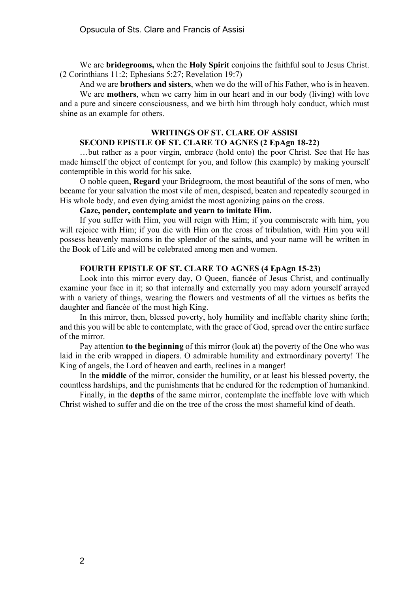We are **bridegrooms,** when the **Holy Spirit** conjoins the faithful soul to Jesus Christ. (2 Corinthians 11:2; Ephesians 5:27; Revelation 19:7)

And we are **brothers and sisters**, when we do the will of his Father, who is in heaven.

We are **mothers**, when we carry him in our heart and in our body (living) with love and a pure and sincere consciousness, and we birth him through holy conduct, which must shine as an example for others.

## **WRITINGS OF ST. CLARE OF ASSISI**

# **SECOND EPISTLE OF ST. CLARE TO AGNES (2 EpAgn 18-22)**

…but rather as a poor virgin, embrace (hold onto) the poor Christ. See that He has made himself the object of contempt for you, and follow (his example) by making yourself contemptible in this world for his sake.

O noble queen, **Regard** your Bridegroom, the most beautiful of the sons of men, who became for your salvation the most vile of men, despised, beaten and repeatedly scourged in His whole body, and even dying amidst the most agonizing pains on the cross.

#### **Gaze, ponder, contemplate and yearn to imitate Him.**

If you suffer with Him, you will reign with Him; if you commiserate with him, you will rejoice with Him; if you die with Him on the cross of tribulation, with Him you will possess heavenly mansions in the splendor of the saints, and your name will be written in the Book of Life and will be celebrated among men and women.

### **FOURTH EPISTLE OF ST. CLARE TO AGNES (4 EpAgn 15-23)**

Look into this mirror every day, O Queen, fiancée of Jesus Christ, and continually examine your face in it; so that internally and externally you may adorn yourself arrayed with a variety of things, wearing the flowers and vestments of all the virtues as befits the daughter and fiancée of the most high King.

In this mirror, then, blessed poverty, holy humility and ineffable charity shine forth; and this you will be able to contemplate, with the grace of God, spread over the entire surface of the mirror.

Pay attention **to the beginning** of this mirror (look at) the poverty of the One who was laid in the crib wrapped in diapers. O admirable humility and extraordinary poverty! The King of angels, the Lord of heaven and earth, reclines in a manger!

In the **middle** of the mirror, consider the humility, or at least his blessed poverty, the countless hardships, and the punishments that he endured for the redemption of humankind.

Finally, in the **depths** of the same mirror, contemplate the ineffable love with which Christ wished to suffer and die on the tree of the cross the most shameful kind of death.